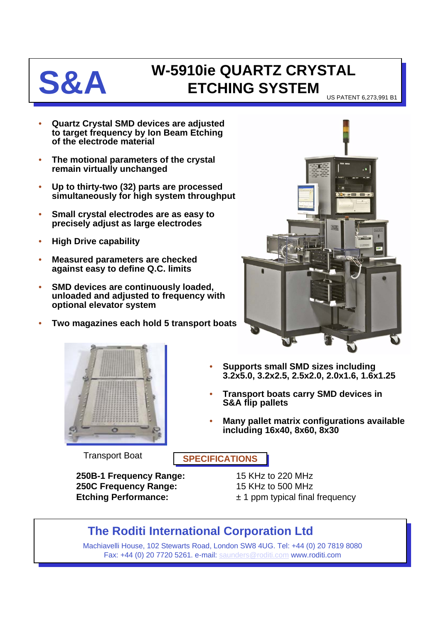

## **S&A W-5910ie QUARTZ CRYSTAL ETCHING SYSTEM**

US PATENT 6,273,991 B1

- **Quartz Crystal SMD devices are adjusted to target frequency by Ion Beam Etching of the electrode material**
- **The motional parameters of the crystal remain virtually unchanged**
- **Up to thirty-two (32) parts are processed simultaneously for high system throughput**
- **Small crystal electrodes are as easy to precisely adjust as large electrodes**
- **High Drive capability**
- **Measured parameters are checked against easy to define Q.C. limits**
- **SMD devices are continuously loaded, unloaded and adjusted to frequency with optional elevator system**
- **Two magazines each hold 5 transport boats**





- **Supports small SMD sizes including 3.2x5.0, 3.2x2.5, 2.5x2.0, 2.0x1.6, 1.6x1.25**
- **Transport boats carry SMD devices in S&A flip pallets**
- **Many pallet matrix configurations available including 16x40, 8x60, 8x30**

**Transport Boat SPECIFICATIONS** 

**250B-1 Frequency Range:** 15 KHz to 220 MHz **250C Frequency Range:** 15 KHz to 500 MHz **Etching Performance:**  $\pm 1$  ppm typical final frequency

## **The Roditi International Corporation Ltd**

Machiavelli House, 102 Stewarts Road, London SW8 4UG. Tel: +44 (0) 20 7819 8080 Fax: +44 (0) 20 7720 5261. e-mail: [saunders@roditi.com](mailto:saunders@roditi.com) www.roditi.com